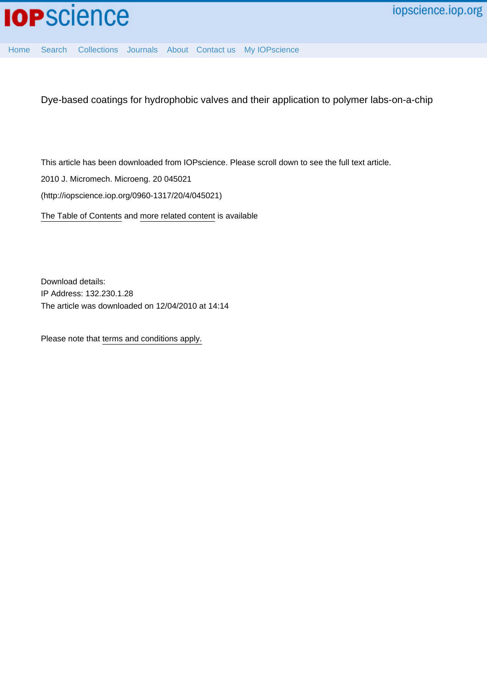

[Home](http://iopscience.iop.org/) [Search](http://iopscience.iop.org/search) [Collections](http://iopscience.iop.org/collections) [Journals](http://iopscience.iop.org/journals) [About](http://iopscience.iop.org/page/aboutioppublishing) [Contact us](http://iopscience.iop.org/contact) [My IOPscience](http://iopscience.iop.org/myiopscience)

Dye-based coatings for hydrophobic valves and their application to polymer labs-on-a-chip

This article has been downloaded from IOPscience. Please scroll down to see the full text article.

2010 J. Micromech. Microeng. 20 045021

(http://iopscience.iop.org/0960-1317/20/4/045021)

[The Table of Contents](http://iopscience.iop.org/0960-1317/20/4) and [more related content](http://iopscience.iop.org/0960-1317/20/4/045021/related) is available

Download details: IP Address: 132.230.1.28 The article was downloaded on 12/04/2010 at 14:14

Please note that [terms and conditions apply.](http://www.iop.org/Terms_&_Conditions)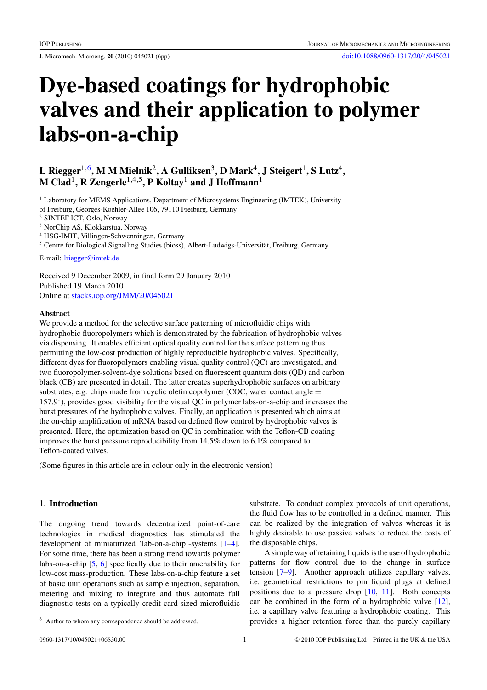J. Micromech. Microeng. **20** (2010) 045021 (6pp) [doi:10.1088/0960-1317/20/4/045021](http://dx.doi.org/10.1088/0960-1317/20/4/045021)

# **Dye-based coatings for hydrophobic valves and their application to polymer labs-on-a-chip**

## **L Riegger**1,6**, M M Mielnik**2**, A Gulliksen**3**, D Mark**4**, J Steigert**1**, S Lutz**4**, M Clad**1**, R Zengerle**1,4,5**, P Koltay**<sup>1</sup> **and J Hoffmann**<sup>1</sup>

<sup>1</sup> Laboratory for MEMS Applications, Department of Microsystems Engineering (IMTEK), University

of Freiburg, Georges-Koehler-Allee 106, 79110 Freiburg, Germany

<sup>2</sup> SINTEF ICT, Oslo, Norway

<sup>3</sup> NorChip AS, Klokkarstua, Norway

<sup>4</sup> HSG-IMIT, Villingen-Schwenningen, Germany

<sup>5</sup> Centre for Biological Signalling Studies (bioss), Albert-Ludwigs-Universität, Freiburg, Germany

E-mail: [lriegger@imtek.de](mailto:lriegger@imtek.de)

Received 9 December 2009, in final form 29 January 2010 Published 19 March 2010 Online at [stacks.iop.org/JMM/20/045021](http://stacks.iop.org/JMM/20/045021)

### **Abstract**

We provide a method for the selective surface patterning of microfluidic chips with hydrophobic fluoropolymers which is demonstrated by the fabrication of hydrophobic valves via dispensing. It enables efficient optical quality control for the surface patterning thus permitting the low-cost production of highly reproducible hydrophobic valves. Specifically, different dyes for fluoropolymers enabling visual quality control (QC) are investigated, and two fluoropolymer-solvent-dye solutions based on fluorescent quantum dots (QD) and carbon black (CB) are presented in detail. The latter creates superhydrophobic surfaces on arbitrary substrates, e.g. chips made from cyclic olefin copolymer (COC, water contact angle  $=$ 157.9◦), provides good visibility for the visual QC in polymer labs-on-a-chip and increases the burst pressures of the hydrophobic valves. Finally, an application is presented which aims at the on-chip amplification of mRNA based on defined flow control by hydrophobic valves is presented. Here, the optimization based on QC in combination with the Teflon-CB coating improves the burst pressure reproducibility from 14.5% down to 6.1% compared to Teflon-coated valves.

(Some figures in this article are in colour only in the electronic version)

## **1. Introduction**

The ongoing trend towards decentralized point-of-care technologies in medical diagnostics has stimulated the development of miniaturized 'lab-on-a-chip'-systems [\[1–4](#page-6-0)]. For some time, there has been a strong trend towards polymer labs-on-a-chip [\[5,](#page-6-0) [6\]](#page-6-0) specifically due to their amenability for low-cost mass-production. These labs-on-a-chip feature a set of basic unit operations such as sample injection, separation, metering and mixing to integrate and thus automate full diagnostic tests on a typically credit card-sized microfluidic

substrate. To conduct complex protocols of unit operations, the fluid flow has to be controlled in a defined manner. This can be realized by the integration of valves whereas it is highly desirable to use passive valves to reduce the costs of the disposable chips.

A simple way of retaining liquids is the use of hydrophobic patterns for flow control due to the change in surface tension [\[7–9\]](#page-6-0). Another approach utilizes capillary valves, i.e. geometrical restrictions to pin liquid plugs at defined positions due to a pressure drop [\[10](#page-6-0), [11](#page-6-0)]. Both concepts can be combined in the form of a hydrophobic valve [\[12](#page-6-0)], i.e. a capillary valve featuring a hydrophobic coating. This provides a higher retention force than the purely capillary

<sup>6</sup> Author to whom any correspondence should be addressed.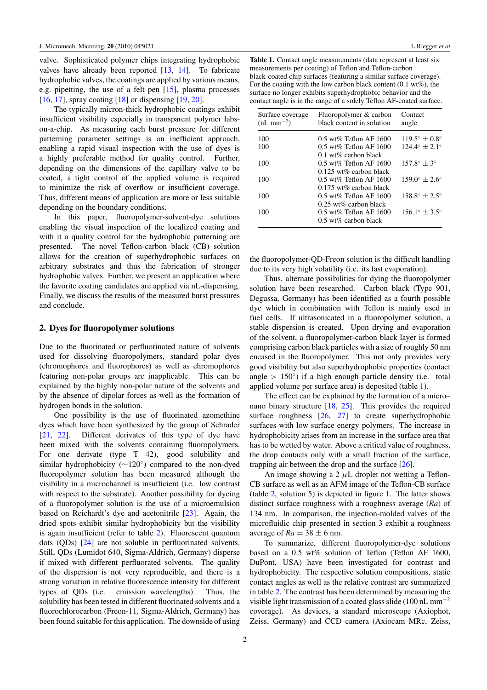<span id="page-2-0"></span>valve. Sophisticated polymer chips integrating hydrophobic valves have already been reported [\[13,](#page-6-0) [14](#page-6-0)]. To fabricate hydrophobic valves, the coatings are applied by various means, e.g. pipetting, the use of a felt pen [\[15](#page-6-0)], plasma processes [\[16](#page-6-0), [17](#page-6-0)], spray coating [\[18\]](#page-6-0) or dispensing [\[19,](#page-6-0) [20\]](#page-6-0).

The typically micron-thick hydrophobic coatings exhibit insufficient visibility especially in transparent polymer labson-a-chip. As measuring each burst pressure for different patterning parameter settings is an inefficient approach, enabling a rapid visual inspection with the use of dyes is a highly preferable method for quality control. Further, depending on the dimensions of the capillary valve to be coated, a tight control of the applied volume is required to minimize the risk of overflow or insufficient coverage. Thus, different means of application are more or less suitable depending on the boundary conditions.

In this paper, fluoropolymer-solvent-dye solutions enabling the visual inspection of the localized coating and with it a quality control for the hydrophobic patterning are presented. The novel Teflon-carbon black (CB) solution allows for the creation of superhydrophobic surfaces on arbitrary substrates and thus the fabrication of stronger hydrophobic valves. Further, we present an application where the favorite coating candidates are applied via nL-dispensing. Finally, we discuss the results of the measured burst pressures and conclude.

#### **2. Dyes for fluoropolymer solutions**

Due to the fluorinated or perfluorinated nature of solvents used for dissolving fluoropolymers, standard polar dyes (chromophores and fluorophores) as well as chromophores featuring non-polar groups are inapplicable. This can be explained by the highly non-polar nature of the solvents and by the absence of dipolar forces as well as the formation of hydrogen bonds in the solution.

One possibility is the use of fluorinated azomethine dyes which have been synthesized by the group of Schrader [\[21](#page-6-0), [22](#page-6-0)]. Different derivates of this type of dye have been mixed with the solvents containing fluoropolymers. For one derivate (type T 42), good solubility and similar hydrophobicity (∼120◦) compared to the non-dyed fluoropolymer solution has been measured although the visibility in a microchannel is insufficient (i.e. low contrast with respect to the substrate). Another possibility for dyeing of a fluoropolymer solution is the use of a microemulsion based on Reichardt's dye and acetonitrile [\[23](#page-6-0)]. Again, the dried spots exhibit similar hydrophobicity but the visibility is again insufficient (refer to table [2\)](#page-3-0). Fluorescent quantum dots (QDs) [\[24\]](#page-6-0) are not soluble in perfluorinated solvents. Still, QDs (Lumidot 640, Sigma-Aldrich, Germany) disperse if mixed with different perfluorated solvents. The quality of the dispersion is not very reproducible, and there is a strong variation in relative fluorescence intensity for different types of QDs (i.e. emission wavelengths). Thus, the solubility has been tested in different fluorinated solvents and a fluorochlorocarbon (Freon-11, Sigma-Aldrich, Germany) has been found suitable for this application. The downside of using

**Table 1.** Contact angle measurements (data represent at least six measurements per coating) of Teflon and Teflon-carbon black-coated chip surfaces (featuring a similar surface coverage). For the coating with the low carbon black content  $(0.1 \text{ wt\%})$ , the surface no longer exhibits superhydrophobic behavior and the contact angle is in the range of a solely Teflon AF-coated surface.

| Surface coverage<br>$(nL \, \text{mm}^{-2})$ | Fluoropolymer & carbon<br>black content in solution           | Contact<br>angle                |
|----------------------------------------------|---------------------------------------------------------------|---------------------------------|
| 100                                          | $0.5 \text{ wt\%}$ Teflon AF 1600                             | $119.5^{\circ} \pm 0.8^{\circ}$ |
| 100                                          | $0.5 \text{ wt\%}$ Teflon AF 1600<br>$0.1$ wt% carbon black   | $124.4^{\circ} + 2.1^{\circ}$   |
| 100                                          | $0.5 \text{ wt\%}$ Teflon AF 1600                             | $157.8^{\circ} \pm 3^{\circ}$   |
| 100                                          | $0.125$ wt% carbon black<br>$0.5 \text{ wt\%}$ Teflon AF 1600 | $159.0^{\circ} + 2.6^{\circ}$   |
| 100                                          | $0.175$ wt% carbon black<br>$0.5 \text{ wt\%}$ Teflon AF 1600 | $158.8^{\circ} \pm 2.5^{\circ}$ |
| 100                                          | $0.25$ wt% carbon black<br>$0.5 \text{ wt\%}$ Teflon AF 1600  | $156.1^{\circ} \pm 3.5^{\circ}$ |
|                                              | $0.5$ wt% carbon black                                        |                                 |

the fluoropolymer-QD-Freon solution is the difficult handling due to its very high volatility (i.e. its fast evaporation).

Thus, alternate possibilities for dying the fluoropolymer solution have been researched. Carbon black (Type 901, Degussa, Germany) has been identified as a fourth possible dye which in combination with Teflon is mainly used in fuel cells. If ultrasonicated in a fluoropolymer solution, a stable dispersion is created. Upon drying and evaporation of the solvent, a fluoropolymer-carbon black layer is formed comprising carbon black particles with a size of roughly 50 nm encased in the fluoropolymer. This not only provides very good visibility but also superhydrophobic properties (contact angle  $> 150°$ ) if a high enough particle density (i.e. total applied volume per surface area) is deposited (table 1).

The effect can be explained by the formation of a micro– nano binary structure [\[18](#page-6-0), [25\]](#page-6-0). This provides the required surface roughness  $[26, 27]$  $[26, 27]$  $[26, 27]$  $[26, 27]$  to create superhydrophobic surfaces with low surface energy polymers. The increase in hydrophobicity arises from an increase in the surface area that has to be wetted by water. Above a critical value of roughness, the drop contacts only with a small fraction of the surface, trapping air between the drop and the surface [\[26\]](#page-6-0).

An image showing a  $2 \mu L$  droplet not wetting a Teflon-CB surface as well as an AFM image of the Teflon-CB surface (table [2,](#page-3-0) solution 5) is depicted in figure [1.](#page-3-0) The latter shows distinct surface roughness with a roughness average (*Ra*) of 134 nm. In comparison, the injection-molded valves of the microfluidic chip presented in section 3 exhibit a roughness average of  $Ra = 38 \pm 6$  nm.

To summarize, different fluoropolymer-dye solutions based on a 0.5 wt% solution of Teflon (Teflon AF 1600, DuPont, USA) have been investigated for contrast and hydrophobicity. The respective solution compositions, static contact angles as well as the relative contrast are summarized in table [2.](#page-3-0) The contrast has been determined by measuring the visible light transmission of a coated glass slide (100 nL mm<sup>-2</sup> coverage). As devices, a standard microscope (Axiophot, Zeiss, Germany) and CCD camera (Axiocam MRc, Zeiss,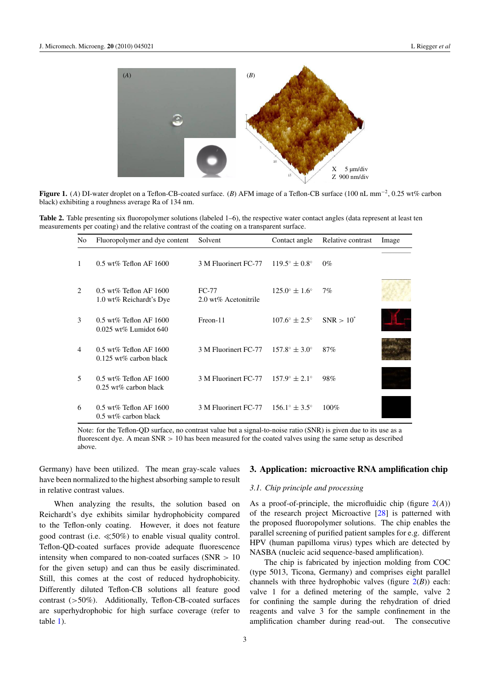<span id="page-3-0"></span>

**Figure 1.** (*A*) DI-water droplet on a Teflon-CB-coated surface. (*B*) AFM image of a Teflon-CB surface (100 nL mm−2, 0.25 wt% carbon black) exhibiting a roughness average Ra of 134 nm.

**Table 2.** Table presenting six fluoropolymer solutions (labeled 1–6), the respective water contact angles (data represent at least ten measurements per coating) and the relative contrast of the coating on a transparent surface.

| No            | Fluoropolymer and dye content                        | Solvent                                | Contact angle                                  | Relative contrast | Image |
|---------------|------------------------------------------------------|----------------------------------------|------------------------------------------------|-------------------|-------|
| $\mathbf{1}$  | $0.5$ wt% Teflon AF 1600                             | 3 M Fluorinert FC-77                   | $119.5^{\circ} \pm 0.8^{\circ}$                | $0\%$             |       |
| $\mathcal{L}$ | $0.5$ wt% Teflon AF 1600<br>1.0 wt% Reichardt's Dye  | <b>FC-77</b><br>$2.0$ wt% Acetonitrile | $125.0^{\circ} \pm 1.6^{\circ}$                | 7%                |       |
| 3             | $0.5$ wt% Teflon AF 1600<br>$0.025$ wt% Lumidot 640  | Freon-11                               | $107.6^{\circ} \pm 2.5^{\circ}$ SNR > $10^{*}$ |                   |       |
| 4             | $0.5$ wt% Teflon AF 1600<br>$0.125$ wt% carbon black | 3 M Fluorinert FC-77                   | $157.8^{\circ} \pm 3.0^{\circ}$                | 87%               |       |
| 5             | $0.5$ wt% Teflon AF 1600<br>$0.25$ wt% carbon black  | 3 M Fluorinert FC-77                   | $157.9^{\circ} \pm 2.1^{\circ}$                | 98%               |       |
| 6             | $0.5$ wt% Teflon AF 1600<br>$0.5$ wt% carbon black   | 3 M Fluorinert FC-77                   | $156.1^{\circ} \pm 3.5^{\circ}$                | $100\%$           |       |

Note: for the Teflon-QD surface, no contrast value but a signal-to-noise ratio (SNR) is given due to its use as a fluorescent dye. A mean SNR *>* 10 has been measured for the coated valves using the same setup as described above.

Germany) have been utilized. The mean gray-scale values have been normalized to the highest absorbing sample to result in relative contrast values.

When analyzing the results, the solution based on Reichardt's dye exhibits similar hydrophobicity compared to the Teflon-only coating. However, it does not feature good contrast (i.e.  $\ll 50\%$ ) to enable visual quality control. Teflon-QD-coated surfaces provide adequate fluorescence intensity when compared to non-coated surfaces (SNR *>* 10 for the given setup) and can thus be easily discriminated. Still, this comes at the cost of reduced hydrophobicity. Differently diluted Teflon-CB solutions all feature good contrast (*>*50%). Additionally, Teflon-CB-coated surfaces are superhydrophobic for high surface coverage (refer to table [1\)](#page-2-0).

## **3. Application: microactive RNA amplification chip**

## *3.1. Chip principle and processing*

As a proof-of-principle, the microfluidic chip (figure  $2(A)$  $2(A)$ ) of the research project Microactive [\[28](#page-6-0)] is patterned with the proposed fluoropolymer solutions. The chip enables the parallel screening of purified patient samples for e.g. different HPV (human papilloma virus) types which are detected by NASBA (nucleic acid sequence-based amplification).

The chip is fabricated by injection molding from COC (type 5013, Ticona, Germany) and comprises eight parallel channels with three hydrophobic valves (figure [2\(](#page-4-0)*B*)) each: valve 1 for a defined metering of the sample, valve 2 for confining the sample during the rehydration of dried reagents and valve 3 for the sample confinement in the amplification chamber during read-out. The consecutive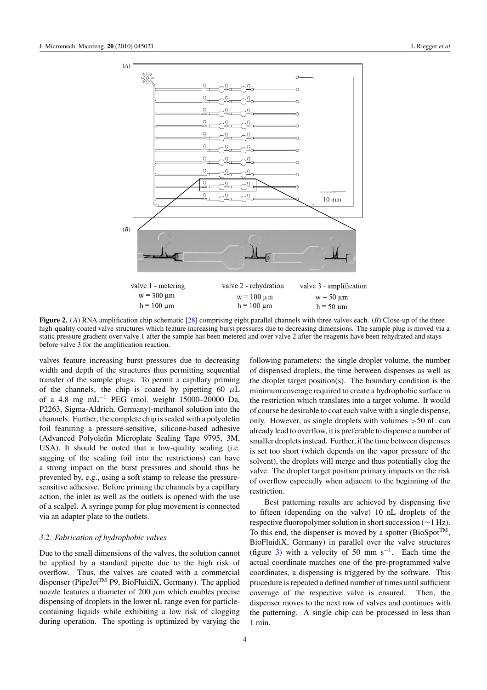<span id="page-4-0"></span>

**Figure 2.** (*A*) RNA amplification chip schematic [\[28](#page-6-0)] comprising eight parallel channels with three valves each. (*B*) Close-up of the three high-quality coated valve structures which feature increasing burst pressures due to decreasing dimensions. The sample plug is moved via a static pressure gradient over valve 1 after the sample has been metered and over valve 2 after the reagents have been rehydrated and stays before valve 3 for the amplification reaction.

valves feature increasing burst pressures due to decreasing width and depth of the structures thus permitting sequential transfer of the sample plugs. To permit a capillary priming of the channels, the chip is coated by pipetting 60  $\mu$ L of a 4.8 mg mL−<sup>1</sup> PEG (mol. weight 15000–20000 Da, P2263, Sigma-Aldrich, Germany)-methanol solution into the channels. Further, the complete chip is sealed with a polyolefin foil featuring a pressure-sensitive, silicone-based adhesive (Advanced Polyolefin Microplate Sealing Tape 9795, 3M, USA). It should be noted that a low-quality sealing (i.e. sagging of the sealing foil into the restrictions) can have a strong impact on the burst pressures and should thus be prevented by, e.g., using a soft stamp to release the pressuresensitive adhesive. Before priming the channels by a capillary action, the inlet as well as the outlets is opened with the use of a scalpel. A syringe pump for plug movement is connected via an adapter plate to the outlets.

### *3.2. Fabrication of hydrophobic valves*

Due to the small dimensions of the valves, the solution cannot be applied by a standard pipette due to the high risk of overflow. Thus, the valves are coated with a commercial dispenser (PipeJet<sup>TM</sup> P9, BioFluidiX, Germany). The applied nozzle features a diameter of 200 *μ*m which enables precise dispensing of droplets in the lower nL range even for particlecontaining liquids while exhibiting a low risk of clogging during operation. The spotting is optimized by varying the following parameters: the single droplet volume, the number of dispensed droplets, the time between dispenses as well as the droplet target position(s). The boundary condition is the minimum coverage required to create a hydrophobic surface in the restriction which translates into a target volume. It would of course be desirable to coat each valve with a single dispense, only. However, as single droplets with volumes *>*50 nL can already lead to overflow, it is preferable to dispense a number of smaller droplets instead. Further, if the time between dispenses is set too short (which depends on the vapor pressure of the solvent), the droplets will merge and thus potentially clog the valve. The droplet target position primary impacts on the risk of overflow especially when adjacent to the beginning of the restriction.

Best patterning results are achieved by dispensing five to fifteen (depending on the valve) 10 nL droplets of the respective fluoropolymer solution in short succession (∼1 Hz). To this end, the dispenser is moved by a spotter (BioSpot<sup>TM</sup>, BioFluidiX, Germany) in parallel over the valve structures (figure [3\)](#page-5-0) with a velocity of 50 mm s<sup>-1</sup>. Each time the actual coordinate matches one of the pre-programmed valve coordinates, a dispensing is triggered by the software. This procedure is repeated a defined number of times until sufficient coverage of the respective valve is ensured. Then, the dispenser moves to the next row of valves and continues with the patterning. A single chip can be processed in less than 1 min.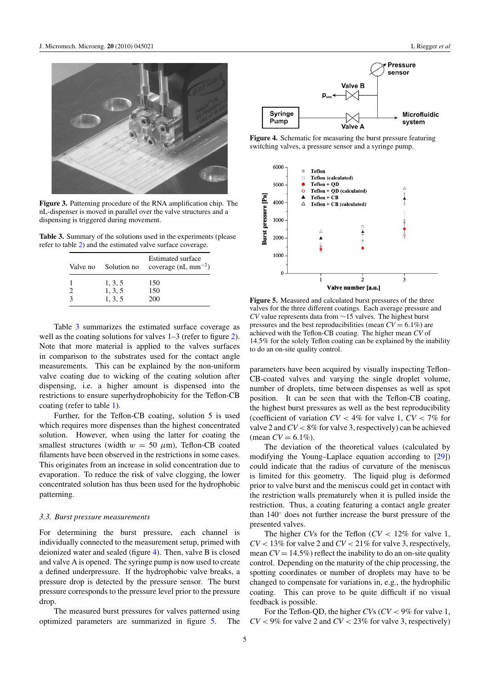<span id="page-5-0"></span>

**Figure 3.** Patterning procedure of the RNA amplification chip. The nL-dispenser is moved in parallel over the valve structures and a dispensing is triggered during movement.

**Table 3.** Summary of the solutions used in the experiments (please refer to table [2\)](#page-3-0) and the estimated valve surface coverage.

| Valve no | Solution no                   | <b>Estimated surface</b><br>coverage (nL mm <sup><math>-2</math></sup> ) |
|----------|-------------------------------|--------------------------------------------------------------------------|
|          | 1, 3, 5<br>1, 3, 5<br>1, 3, 5 | 150<br>150<br>200                                                        |

Table 3 summarizes the estimated surface coverage as well as the coating solutions for valves  $1-3$  (refer to figure [2\)](#page-4-0). Note that more material is applied to the valves surfaces in comparison to the substrates used for the contact angle measurements. This can be explained by the non-uniform valve coating due to wicking of the coating solution after dispensing, i.e. a higher amount is dispensed into the restrictions to ensure superhydrophobicity for the Teflon-CB coating (refer to table [1\)](#page-2-0).

Further, for the Teflon-CB coating, solution 5 is used which requires more dispenses than the highest concentrated solution. However, when using the latter for coating the smallest structures (width  $w = 50 \mu m$ ), Teflon-CB coated filaments have been observed in the restrictions in some cases. This originates from an increase in solid concentration due to evaporation. To reduce the risk of valve clogging, the lower concentrated solution has thus been used for the hydrophobic patterning.

#### *3.3. Burst pressure measurements*

For determining the burst pressure, each channel is individually connected to the measurement setup, primed with deionized water and sealed (figure 4). Then, valve B is closed and valve A is opened. The syringe pump is now used to create a defined underpressure. If the hydrophobic valve breaks, a pressure drop is detected by the pressure sensor. The burst pressure corresponds to the pressure level prior to the pressure drop.

The measured burst pressures for valves patterned using optimized parameters are summarized in figure 5. The



**Figure 4.** Schematic for measuring the burst pressure featuring switching valves, a pressure sensor and a syringe pump.



**Figure 5.** Measured and calculated burst pressures of the three valves for the three different coatings. Each average pressure and *CV* value represents data from ∼15 valves. The highest burst pressures and the best reproducibilities (mean  $CV = 6.1\%$ ) are achieved with the Teflon-CB coating. The higher mean *CV* of 14.5% for the solely Teflon coating can be explained by the inability to do an on-site quality control.

parameters have been acquired by visually inspecting Teflon-CB-coated valves and varying the single droplet volume, number of droplets, time between dispenses as well as spot position. It can be seen that with the Teflon-CB coating, the highest burst pressures as well as the best reproducibility (coefficient of variation  $CV < 4\%$  for valve 1,  $CV < 7\%$  for valve 2 and  $CV < 8\%$  for valve 3, respectively) can be achieved  $(\text{mean } CV = 6.1\%).$ 

The deviation of the theoretical values (calculated by modifying the Young–Laplace equation according to [\[29\]](#page-6-0)) could indicate that the radius of curvature of the meniscus is limited for this geometry. The liquid plug is deformed prior to valve burst and the meniscus could get in contact with the restriction walls prematurely when it is pulled inside the restriction. Thus, a coating featuring a contact angle greater than 140◦ does not further increase the burst pressure of the presented valves.

The higher *CV*s for the Teflon (*CV <* 12% for valve 1,  $CV < 13\%$  for valve 2 and  $CV < 21\%$  for valve 3, respectively, mean  $CV = 14.5\%$ ) reflect the inability to do an on-site quality control. Depending on the maturity of the chip processing, the spotting coordinates or number of droplets may have to be changed to compensate for variations in, e.g., the hydrophilic coating. This can prove to be quite difficult if no visual feedback is possible.

For the Teflon-QD, the higher *CV*s (*CV <* 9% for valve 1,  $CV < 9\%$  for valve 2 and  $CV < 23\%$  for valve 3, respectively)